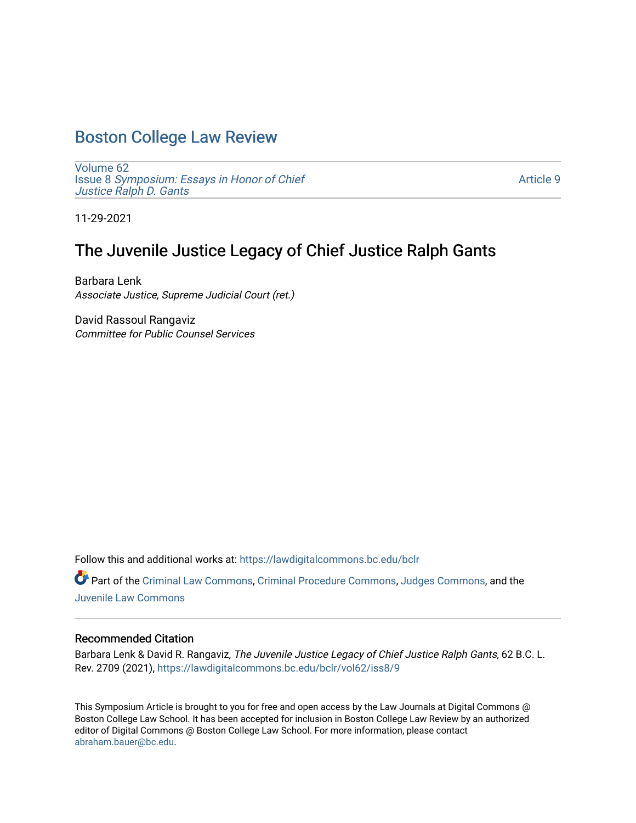# [Boston College Law Review](https://lawdigitalcommons.bc.edu/bclr)

[Volume 62](https://lawdigitalcommons.bc.edu/bclr/vol62) Issue 8 [Symposium: Essays in Honor of Chief](https://lawdigitalcommons.bc.edu/bclr/vol62/iss8)  Justice Ralph D. Gants

[Article 9](https://lawdigitalcommons.bc.edu/bclr/vol62/iss8/9) 

11-29-2021

## The Juvenile Justice Legacy of Chief Justice Ralph Gants

Barbara Lenk Associate Justice, Supreme Judicial Court (ret.)

David Rassoul Rangaviz Committee for Public Counsel Services

Follow this and additional works at: [https://lawdigitalcommons.bc.edu/bclr](https://lawdigitalcommons.bc.edu/bclr?utm_source=lawdigitalcommons.bc.edu%2Fbclr%2Fvol62%2Fiss8%2F9&utm_medium=PDF&utm_campaign=PDFCoverPages) 

Part of the [Criminal Law Commons,](http://network.bepress.com/hgg/discipline/912?utm_source=lawdigitalcommons.bc.edu%2Fbclr%2Fvol62%2Fiss8%2F9&utm_medium=PDF&utm_campaign=PDFCoverPages) [Criminal Procedure Commons,](http://network.bepress.com/hgg/discipline/1073?utm_source=lawdigitalcommons.bc.edu%2Fbclr%2Fvol62%2Fiss8%2F9&utm_medium=PDF&utm_campaign=PDFCoverPages) [Judges Commons](http://network.bepress.com/hgg/discipline/849?utm_source=lawdigitalcommons.bc.edu%2Fbclr%2Fvol62%2Fiss8%2F9&utm_medium=PDF&utm_campaign=PDFCoverPages), and the [Juvenile Law Commons](http://network.bepress.com/hgg/discipline/851?utm_source=lawdigitalcommons.bc.edu%2Fbclr%2Fvol62%2Fiss8%2F9&utm_medium=PDF&utm_campaign=PDFCoverPages)

### Recommended Citation

Barbara Lenk & David R. Rangaviz, The Juvenile Justice Legacy of Chief Justice Ralph Gants, 62 B.C. L. Rev. 2709 (2021), [https://lawdigitalcommons.bc.edu/bclr/vol62/iss8/9](https://lawdigitalcommons.bc.edu/bclr/vol62/iss8/9?utm_source=lawdigitalcommons.bc.edu%2Fbclr%2Fvol62%2Fiss8%2F9&utm_medium=PDF&utm_campaign=PDFCoverPages)

This Symposium Article is brought to you for free and open access by the Law Journals at Digital Commons @ Boston College Law School. It has been accepted for inclusion in Boston College Law Review by an authorized editor of Digital Commons @ Boston College Law School. For more information, please contact [abraham.bauer@bc.edu.](mailto:abraham.bauer@bc.edu)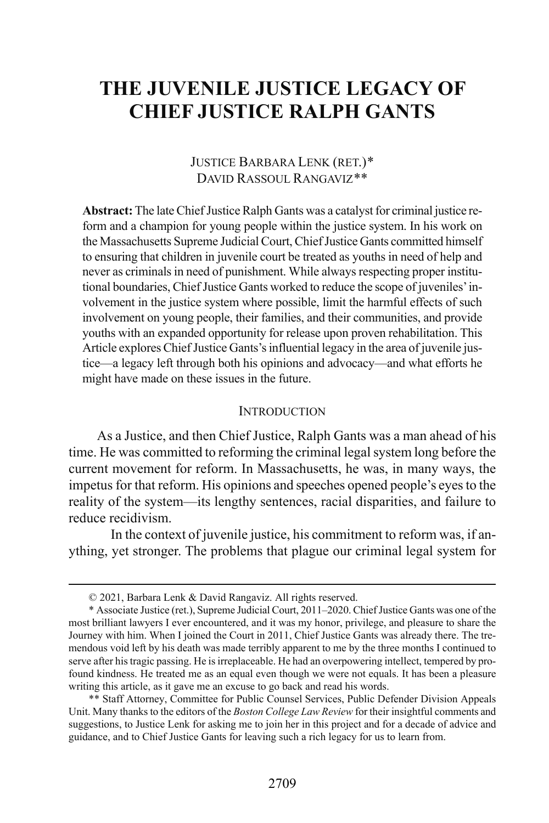# **THE JUVENILE JUSTICE LEGACY OF CHIEF JUSTICE RALPH GANTS**

## JUSTICE BARBARA LENK (RET.)[\\*](#page-1-0) DAVID RASSOUL RANGAVIZ[\\*\\*](#page-1-1)

**Abstract:** The late Chief Justice Ralph Gants was a catalyst for criminal justice reform and a champion for young people within the justice system. In his work on the Massachusetts Supreme Judicial Court, Chief Justice Gants committed himself to ensuring that children in juvenile court be treated as youths in need of help and never as criminals in need of punishment. While always respecting proper institutional boundaries, Chief Justice Gants worked to reduce the scope of juveniles' involvement in the justice system where possible, limit the harmful effects of such involvement on young people, their families, and their communities, and provide youths with an expanded opportunity for release upon proven rehabilitation. This Article explores Chief Justice Gants's influential legacy in the area of juvenile justice—a legacy left through both his opinions and advocacy—and what efforts he might have made on these issues in the future.

#### **INTRODUCTION**

As a Justice, and then Chief Justice, Ralph Gants was a man ahead of his time. He was committed to reforming the criminal legal system long before the current movement for reform. In Massachusetts, he was, in many ways, the impetus for that reform. His opinions and speeches opened people's eyes to the reality of the system—its lengthy sentences, racial disparities, and failure to reduce recidivism.

 In the context of juvenile justice, his commitment to reform was, if anything, yet stronger. The problems that plague our criminal legal system for

 <sup>© 2021,</sup> Barbara Lenk & David Rangaviz. All rights reserved.

<span id="page-1-0"></span><sup>\*</sup> Associate Justice (ret.), Supreme Judicial Court, 2011–2020. Chief Justice Gants was one of the most brilliant lawyers I ever encountered, and it was my honor, privilege, and pleasure to share the Journey with him. When I joined the Court in 2011, Chief Justice Gants was already there. The tremendous void left by his death was made terribly apparent to me by the three months I continued to serve after his tragic passing. He is irreplaceable. He had an overpowering intellect, tempered by profound kindness. He treated me as an equal even though we were not equals. It has been a pleasure writing this article, as it gave me an excuse to go back and read his words.

<span id="page-1-1"></span><sup>\*\*</sup> Staff Attorney, Committee for Public Counsel Services, Public Defender Division Appeals Unit. Many thanks to the editors of the *Boston College Law Review* for their insightful comments and suggestions, to Justice Lenk for asking me to join her in this project and for a decade of advice and guidance, and to Chief Justice Gants for leaving such a rich legacy for us to learn from.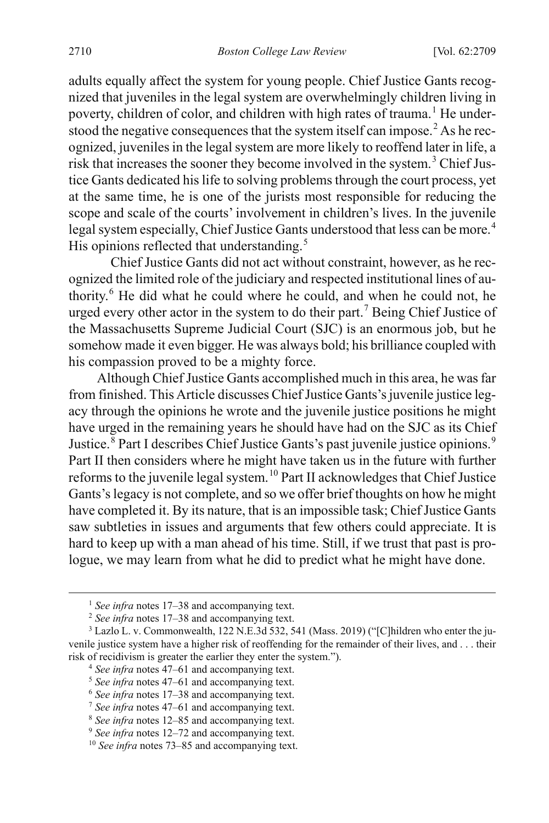adults equally affect the system for young people. Chief Justice Gants recognized that juveniles in the legal system are overwhelmingly children living in poverty, children of color, and children with high rates of trauma.<sup>[1](#page-2-0)</sup> He under-stood the negative consequences that the system itself can impose.<sup>[2](#page-2-1)</sup> As he recognized, juveniles in the legal system are more likely to reoffend later in life, a risk that increases the sooner they become involved in the system.[3](#page-2-2) Chief Justice Gants dedicated his life to solving problems through the court process, yet at the same time, he is one of the jurists most responsible for reducing the scope and scale of the courts' involvement in children's lives. In the juvenile legal system especially. Chief Justice Gants understood that less can be more.<sup>[4](#page-2-3)</sup> His opinions reflected that understanding.<sup>[5](#page-2-4)</sup>

Chief Justice Gants did not act without constraint, however, as he recognized the limited role of the judiciary and respected institutional lines of authority.[6](#page-2-5) He did what he could where he could, and when he could not, he urged every other actor in the system to do their part.<sup>[7](#page-2-6)</sup> Being Chief Justice of the Massachusetts Supreme Judicial Court (SJC) is an enormous job, but he somehow made it even bigger. He was always bold; his brilliance coupled with his compassion proved to be a mighty force.

Although Chief Justice Gants accomplished much in this area, he was far from finished. This Article discusses Chief Justice Gants's juvenile justice legacy through the opinions he wrote and the juvenile justice positions he might have urged in the remaining years he should have had on the SJC as its Chief Justice.<sup>[8](#page-2-7)</sup> Part I describes Chief Justice Gants's past juvenile justice opinions.<sup>[9](#page-2-8)</sup> Part II then considers where he might have taken us in the future with further reforms to the juvenile legal system.<sup>[10](#page-2-9)</sup> Part II acknowledges that Chief Justice Gants's legacy is not complete, and so we offer brief thoughts on how he might have completed it. By its nature, that is an impossible task; Chief Justice Gants saw subtleties in issues and arguments that few others could appreciate. It is hard to keep up with a man ahead of his time. Still, if we trust that past is prologue, we may learn from what he did to predict what he might have done.

<sup>&</sup>lt;sup>1</sup> *See infra* note[s 17](#page-3-0)[–38](#page-6-0) and accompanying text.

<sup>2</sup> *See infra* note[s 17](#page-3-0)[–38](#page-6-0) and accompanying text.

<span id="page-2-4"></span><span id="page-2-3"></span><span id="page-2-2"></span><span id="page-2-1"></span><span id="page-2-0"></span><sup>3</sup> Lazlo L. v. Commonwealth, 122 N.E.3d 532, 541 (Mass. 2019) ("[C]hildren who enter the juvenile justice system have a higher risk of reoffending for the remainder of their lives, and . . . their risk of recidivism is greater the earlier they enter the system."). 4 *See infra* note[s 47](#page-8-0)[–61](#page-10-0) and accompanying text.

<sup>5</sup> *See infra* note[s 47](#page-8-0)[–61](#page-10-0) and accompanying text.

<span id="page-2-5"></span><sup>6</sup> *See infra* note[s 17](#page-3-0)[–38](#page-6-0) and accompanying text.

<span id="page-2-6"></span><sup>7</sup> *See infra* note[s 47](#page-8-0)[–61](#page-10-0) and accompanying text.

<span id="page-2-7"></span><sup>8</sup> *See infra* note[s 12](#page-3-1)[–85](#page-15-0) and accompanying text.

<span id="page-2-9"></span><span id="page-2-8"></span><sup>9</sup> *See infra* note[s 12](#page-3-1)[–72](#page-12-0) and accompanying text.

<sup>10</sup> *See infra* note[s 73–](#page-12-1)[85](#page-15-0) and accompanying text.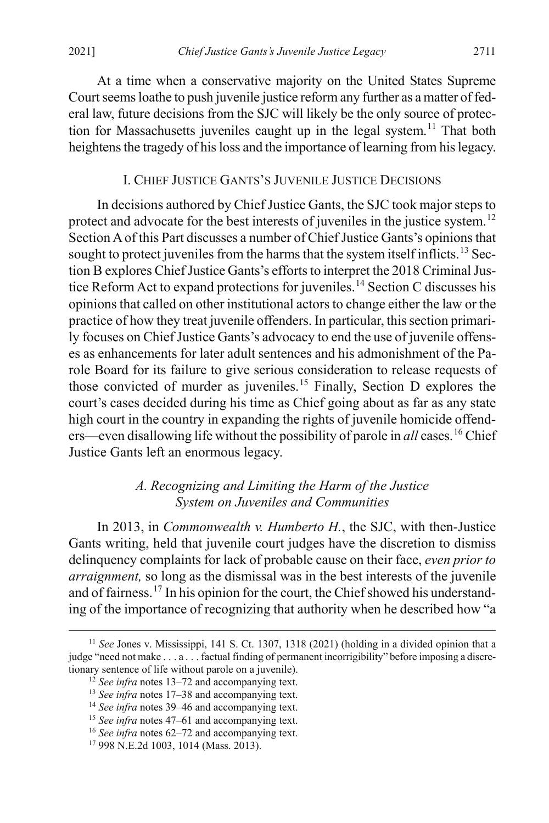At a time when a conservative majority on the United States Supreme Court seems loathe to push juvenile justice reform any further as a matter of federal law, future decisions from the SJC will likely be the only source of protec-tion for Massachusetts juveniles caught up in the legal system.<sup>[11](#page-3-3)</sup> That both heightens the tragedy of his loss and the importance of learning from his legacy.

### <span id="page-3-2"></span><span id="page-3-1"></span>I. CHIEF JUSTICE GANTS'S JUVENILE JUSTICE DECISIONS

In decisions authored by Chief Justice Gants, the SJC took major steps to protect and advocate for the best interests of juveniles in the justice system.<sup>[12](#page-3-4)</sup> Section A of this Part discusses a number of Chief Justice Gants's opinions that sought to protect juveniles from the harms that the system itself inflicts.<sup>[13](#page-3-5)</sup> Section B explores Chief Justice Gants's efforts to interpret the 2018 Criminal Jus-tice Reform Act to expand protections for juveniles.<sup>[14](#page-3-6)</sup> Section C discusses his opinionsthat called on other institutional actors to change either the law or the practice of how they treat juvenile offenders. In particular, this section primarily focuses on Chief Justice Gants's advocacy to end the use of juvenile offenses as enhancements for later adult sentences and his admonishment of the Parole Board for its failure to give serious consideration to release requests of those convicted of murder as juveniles. [15](#page-3-7) Finally, Section D explores the court's cases decided during his time as Chief going about as far as any state high court in the country in expanding the rights of juvenile homicide offenders—even disallowing life without the possibility of parole in *all* cases.<sup>[16](#page-3-8)</sup> Chief Justice Gants left an enormous legacy.

## *A. Recognizing and Limiting the Harm of the Justice System on Juveniles and Communities*

In 2013, in *Commonwealth v. Humberto H.*, the SJC, with then-Justice Gants writing, held that juvenile court judges have the discretion to dismiss delinquency complaints for lack of probable cause on their face, *even prior to arraignment,* so long as the dismissal was in the best interests of the juvenile and of fairness.<sup>[17](#page-3-9)</sup> In his opinion for the court, the Chief showed his understanding of the importance of recognizing that authority when he described how "a

<span id="page-3-5"></span><span id="page-3-4"></span><span id="page-3-3"></span><span id="page-3-0"></span> <sup>11</sup> *See* Jones v. Mississippi, 141 S. Ct. 1307, 1318 (2021) (holding in a divided opinion that a judge "need not make . . . a . . . factual finding of permanent incorrigibility" before imposing a discretionary sentence of life without parole on a juvenile).

<sup>12</sup> *See infra* note[s 13–](#page-3-2)[72](#page-12-0) and accompanying text.

<sup>13</sup> *See infra* note[s 17–](#page-3-0)[38](#page-6-0) and accompanying text.

<span id="page-3-6"></span><sup>14</sup> *See infra* note[s 39–](#page-7-0)[46](#page-8-1) and accompanying text.

<span id="page-3-7"></span><sup>15</sup> *See infra* note[s 47–](#page-8-0)[61](#page-10-0) and accompanying text.

<span id="page-3-8"></span><sup>16</sup> *See infra* note[s 62–](#page-11-0)[72](#page-12-0) and accompanying text.

<span id="page-3-9"></span><sup>17</sup> 998 N.E.2d 1003, 1014 (Mass. 2013).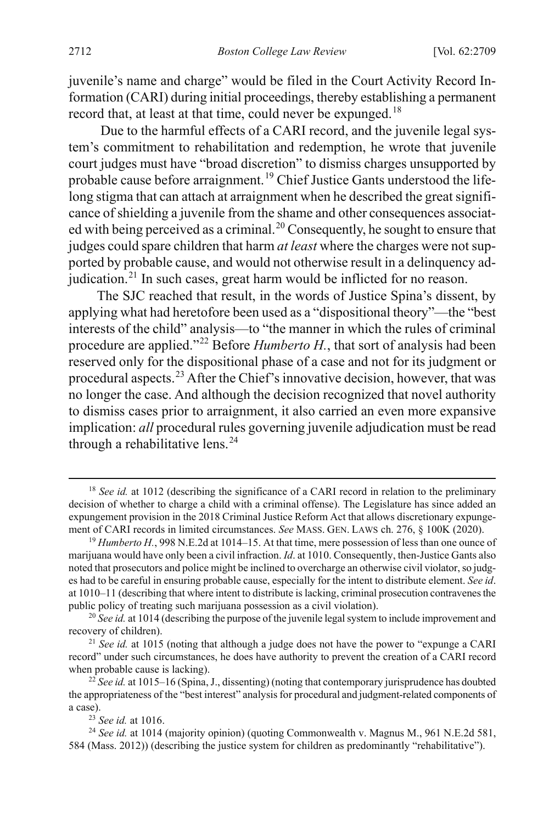juvenile's name and charge" would be filed in the Court Activity Record Information (CARI) during initial proceedings, thereby establishing a permanent record that, at least at that time, could never be expunged.<sup>[18](#page-4-0)</sup>

Due to the harmful effects of a CARI record, and the juvenile legal system's commitment to rehabilitation and redemption, he wrote that juvenile court judges must have "broad discretion" to dismiss charges unsupported by probable cause before arraignment.<sup>[19](#page-4-1)</sup> Chief Justice Gants understood the lifelong stigma that can attach at arraignment when he described the great significance of shielding a juvenile from the shame and other consequences associat-ed with being perceived as a criminal.<sup>[20](#page-4-2)</sup> Consequently, he sought to ensure that judges could spare children that harm *at least* where the charges were not supported by probable cause, and would not otherwise result in a delinquency ad-judication.<sup>[21](#page-4-3)</sup> In such cases, great harm would be inflicted for no reason.

The SJC reached that result, in the words of Justice Spina's dissent, by applying what had heretofore been used as a "dispositional theory"—the "best interests of the child" analysis—to "the manner in which the rules of criminal procedure are applied."[22](#page-4-4) Before *Humberto H.*, that sort of analysis had been reserved only for the dispositional phase of a case and not for its judgment or procedural aspects.<sup>[23](#page-4-5)</sup> After the Chief's innovative decision, however, that was no longer the case. And although the decision recognized that novel authority to dismiss cases prior to arraignment, it also carried an even more expansive implication: *all* procedural rules governing juvenile adjudication must be read through a rehabilitative lens.<sup>[24](#page-4-6)</sup>

<span id="page-4-0"></span><sup>&</sup>lt;sup>18</sup> *See id.* at 1012 (describing the significance of a CARI record in relation to the preliminary decision of whether to charge a child with a criminal offense). The Legislature has since added an expungement provision in the 2018 Criminal Justice Reform Act that allows discretionary expungement of CARI records in limited circumstances. *See* MASS. GEN. LAWS ch. 276, § 100K (2020).

<span id="page-4-1"></span><sup>&</sup>lt;sup>19</sup> *Humberto H.*, 998 N.E.2d at 1014–15. At that time, mere possession of less than one ounce of marijuana would have only been a civil infraction. *Id*. at 1010. Consequently, then-Justice Gants also noted that prosecutors and police might be inclined to overcharge an otherwise civil violator, so judges had to be careful in ensuring probable cause, especially for the intent to distribute element. *See id*. at 1010–11 (describing that where intent to distribute is lacking, criminal prosecution contravenes the public policy of treating such marijuana possession as a civil violation).

<span id="page-4-2"></span><sup>&</sup>lt;sup>20</sup> See id. at 1014 (describing the purpose of the juvenile legal system to include improvement and recovery of children).

<span id="page-4-3"></span><sup>&</sup>lt;sup>21</sup> *See id.* at 1015 (noting that although a judge does not have the power to "expunge a CARI" record" under such circumstances, he does have authority to prevent the creation of a CARI record when probable cause is lacking).

<span id="page-4-4"></span><sup>22</sup> *See id.* at 1015–16 (Spina, J., dissenting) (noting that contemporary jurisprudence has doubted the appropriateness of the "best interest" analysis for procedural and judgment-related components of a case).

<sup>23</sup> *See id.* at 1016.

<span id="page-4-6"></span><span id="page-4-5"></span><sup>&</sup>lt;sup>24</sup> See id. at 1014 (majority opinion) (quoting Commonwealth v. Magnus M., 961 N.E.2d 581, 584 (Mass. 2012)) (describing the justice system for children as predominantly "rehabilitative").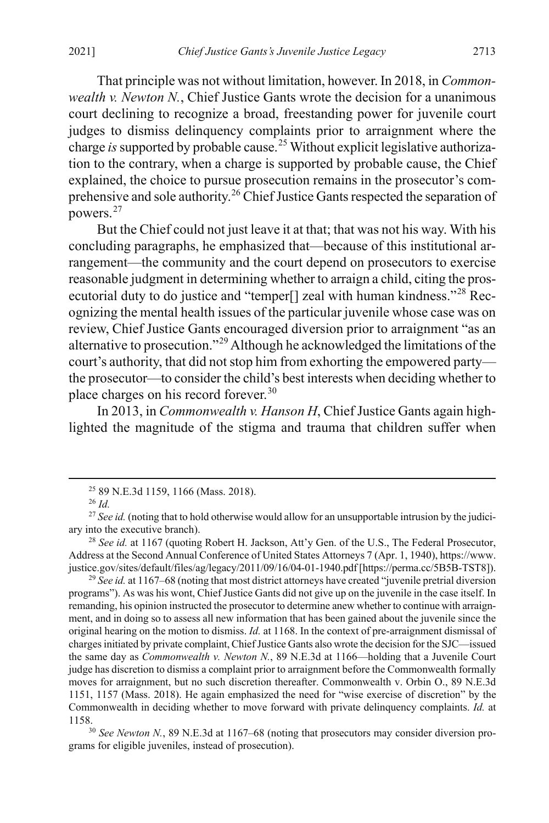That principle was not without limitation, however. In 2018, in *Commonwealth v. Newton N.*, Chief Justice Gants wrote the decision for a unanimous court declining to recognize a broad, freestanding power for juvenile court judges to dismiss delinquency complaints prior to arraignment where the charge *is* supported by probable cause.<sup>[25](#page-5-0)</sup> Without explicit legislative authorization to the contrary, when a charge is supported by probable cause, the Chief explained, the choice to pursue prosecution remains in the prosecutor's com-prehensive and sole authority.<sup>[26](#page-5-1)</sup> Chief Justice Gants respected the separation of powers. [27](#page-5-2)

But the Chief could not just leave it at that; that was not his way. With his concluding paragraphs, he emphasized that—because of this institutional arrangement—the community and the court depend on prosecutors to exercise reasonable judgment in determining whether to arraign a child, citing the prosecutorial duty to do justice and "temper[] zeal with human kindness."[28](#page-5-3) Recognizing the mental health issues of the particular juvenile whose case was on review, Chief Justice Gants encouraged diversion prior to arraignment "as an alternative to prosecution."[29](#page-5-4) Although he acknowledged the limitations of the court's authority, that did not stop him from exhorting the empowered party the prosecutor—to consider the child's best interests when deciding whether to place charges on his record forever.[30](#page-5-5)

In 2013, in *Commonwealth v. Hanson H*, Chief Justice Gants again highlighted the magnitude of the stigma and trauma that children suffer when

<span id="page-5-4"></span>programs"). As was his wont, Chief Justice Gants did not give up on the juvenile in the case itself. In remanding, his opinion instructed the prosecutor to determine anew whether to continue with arraignment, and in doing so to assess all new information that has been gained about the juvenile since the original hearing on the motion to dismiss. *Id.* at 1168. In the context of pre-arraignment dismissal of charges initiated by private complaint, Chief Justice Gants also wrote the decision for the SJC—issued the same day as *Commonwealth v. Newton N.*, 89 N.E.3d at 1166—holding that a Juvenile Court judge has discretion to dismiss a complaint prior to arraignment before the Commonwealth formally moves for arraignment, but no such discretion thereafter. Commonwealth v. Orbin O., 89 N.E.3d 1151, 1157 (Mass. 2018). He again emphasized the need for "wise exercise of discretion" by the Commonwealth in deciding whether to move forward with private delinquency complaints. *Id.* at 1158. 30 *See Newton N.*, 89 N.E.3d at 1167–68 (noting that prosecutors may consider diversion pro-

<span id="page-5-5"></span>grams for eligible juveniles, instead of prosecution).

 <sup>25</sup> 89 N.E.3d 1159, 1166 (Mass. 2018).

<sup>26</sup> *Id.*

<span id="page-5-2"></span><span id="page-5-1"></span><span id="page-5-0"></span><sup>&</sup>lt;sup>27</sup> *See id.* (noting that to hold otherwise would allow for an unsupportable intrusion by the judiciary into the executive branch).

<span id="page-5-3"></span><sup>28</sup> *See id.* at 1167 (quoting Robert H. Jackson, Att'y Gen. of the U.S., The Federal Prosecutor, Address at the Second Annual Conference of United States Attorneys 7 (Apr. 1, 1940), https://www. justice.gov/sites/default/files/ag/legacy/2011/09/16/04-01-1940.pdf [https://perma.cc/5B5B-TST8]). 29 *See id.* at 1167–68 (noting that most district attorneys have created "juvenile pretrial diversion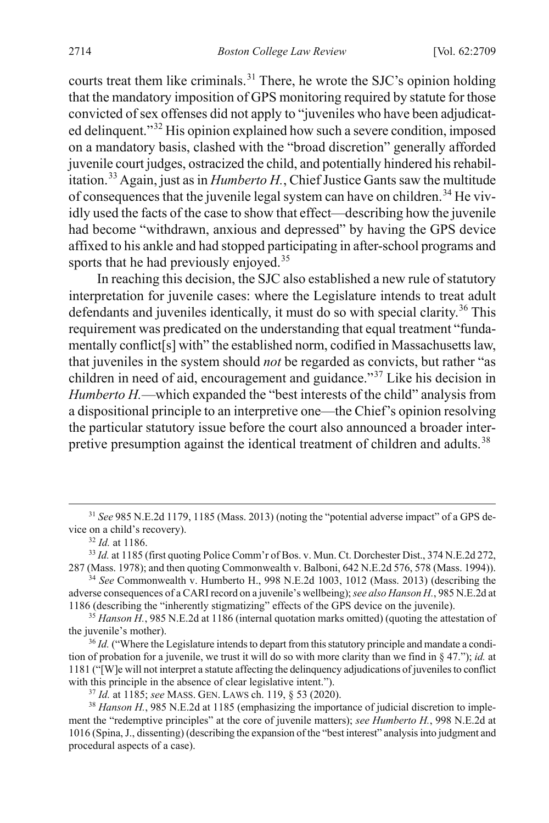courts treat them like criminals.<sup>[31](#page-6-1)</sup> There, he wrote the SJC's opinion holding that the mandatory imposition of GPS monitoring required by statute for those convicted of sex offenses did not apply to "juveniles who have been adjudicated delinquent."[32](#page-6-2) His opinion explained how such a severe condition, imposed on a mandatory basis, clashed with the "broad discretion" generally afforded juvenile court judges, ostracized the child, and potentially hindered his rehabil-itation.<sup>[33](#page-6-3)</sup> Again, just as in *Humberto H.*, Chief Justice Gants saw the multitude of consequences that the juvenile legal system can have on children.<sup>34</sup> He vividly used the facts of the case to show that effect—describing how the juvenile had become "withdrawn, anxious and depressed" by having the GPS device affixed to his ankle and had stopped participating in after-school programs and sports that he had previously enjoyed.<sup>[35](#page-6-5)</sup>

In reaching this decision, the SJC also established a new rule of statutory interpretation for juvenile cases: where the Legislature intends to treat adult defendants and juveniles identically, it must do so with special clarity.<sup>[36](#page-6-6)</sup> This requirement was predicated on the understanding that equal treatment "fundamentally conflict[s] with" the established norm, codified in Massachusetts law, that juveniles in the system should *not* be regarded as convicts, but rather "as children in need of aid, encouragement and guidance."[37](#page-6-7) Like his decision in *Humberto H.*—which expanded the "best interests of the child" analysis from a dispositional principle to an interpretive one—the Chief's opinion resolving the particular statutory issue before the court also announced a broader inter-pretive presumption against the identical treatment of children and adults.<sup>[38](#page-6-8)</sup>

<span id="page-6-1"></span> <sup>31</sup> *See* 985 N.E.2d 1179, 1185 (Mass. 2013) (noting the "potential adverse impact" of a GPS device on a child's recovery).

<span id="page-6-0"></span><sup>32</sup> *Id.* at 1186.

<span id="page-6-3"></span><span id="page-6-2"></span><sup>&</sup>lt;sup>33</sup> *Id.* at 1185 (first quoting Police Comm'r of Bos. v. Mun. Ct. Dorchester Dist., 374 N.E.2d 272, 287 (Mass. 1978); and then quoting Commonwealth v. Balboni, 642 N.E.2d 576, 578 (Mass. 1994)).

<span id="page-6-4"></span><sup>34</sup> *See* Commonwealth v. Humberto H., 998 N.E.2d 1003, 1012 (Mass. 2013) (describing the adverse consequences of a CARI record on a juvenile's wellbeing); *see also Hanson H.*, 985 N.E.2d at 1186 (describing the "inherently stigmatizing" effects of the GPS device on the juvenile).

<span id="page-6-5"></span> $35$  *Hanson H.*, 985 N.E.2d at 1186 (internal quotation marks omitted) (quoting the attestation of the juvenile's mother).<br><sup>36</sup> *Id.* ("Where the Legislature intends to depart from this statutory principle and mandate a condi-

<span id="page-6-6"></span>tion of probation for a juvenile, we trust it will do so with more clarity than we find in § 47."); *id.* at 1181 ("[W]e will not interpret a statute affecting the delinquency adjudications of juveniles to conflict with this principle in the absence of clear legislative intent.").

<sup>37</sup> *Id.* at 1185; *see* MASS. GEN. LAWS ch. 119, § 53 (2020).

<span id="page-6-8"></span><span id="page-6-7"></span><sup>&</sup>lt;sup>38</sup> *Hanson H.*, 985 N.E.2d at 1185 (emphasizing the importance of judicial discretion to implement the "redemptive principles" at the core of juvenile matters); *see Humberto H.*, 998 N.E.2d at 1016 (Spina, J., dissenting) (describing the expansion of the "best interest" analysis into judgment and procedural aspects of a case).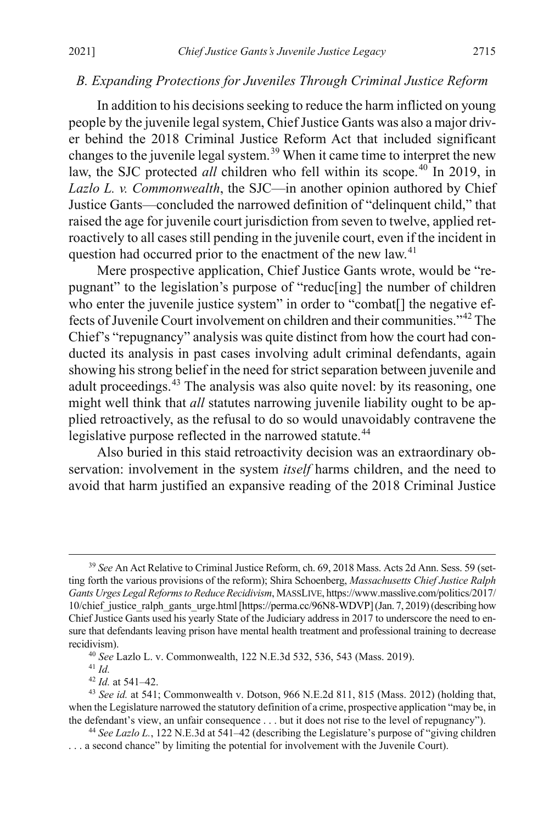#### <span id="page-7-0"></span>*B. Expanding Protections for Juveniles Through Criminal Justice Reform*

In addition to his decisions seeking to reduce the harm inflicted on young people by the juvenile legal system, Chief Justice Gants was also a major driver behind the 2018 Criminal Justice Reform Act that included significant changes to the juvenile legal system.[39](#page-7-1) When it came time to interpret the new law, the SJC protected *all* children who fell within its scope.<sup>40</sup> In 2019, in *Lazlo L. v. Commonwealth*, the SJC—in another opinion authored by Chief Justice Gants—concluded the narrowed definition of "delinquent child," that raised the age for juvenile court jurisdiction from seven to twelve, applied retroactively to all cases still pending in the juvenile court, even if the incident in question had occurred prior to the enactment of the new law.<sup>[41](#page-7-3)</sup>

Mere prospective application, Chief Justice Gants wrote, would be "repugnant" to the legislation's purpose of "reduc[ing] the number of children who enter the juvenile justice system" in order to "combat<sup>[]</sup> the negative effects of Juvenile Court involvement on children and their communities."[42](#page-7-4) The Chief's "repugnancy" analysis was quite distinct from how the court had conducted its analysis in past cases involving adult criminal defendants, again showing his strong belief in the need forstrict separation between juvenile and adult proceedings.<sup>[43](#page-7-5)</sup> The analysis was also quite novel: by its reasoning, one might well think that *all* statutes narrowing juvenile liability ought to be applied retroactively, as the refusal to do so would unavoidably contravene the legislative purpose reflected in the narrowed statute.<sup>[44](#page-7-6)</sup>

Also buried in this staid retroactivity decision was an extraordinary observation: involvement in the system *itself* harms children, and the need to avoid that harm justified an expansive reading of the 2018 Criminal Justice

<sup>41</sup> *Id.*

<sup>42</sup> *Id.* at 541–42.

<span id="page-7-1"></span> <sup>39</sup> *See* An Act Relative to Criminal Justice Reform, ch. 69, 2018 Mass. Acts 2d Ann. Sess. 59 (setting forth the various provisions of the reform); Shira Schoenberg, *Massachusetts Chief Justice Ralph Gants Urges Legal Reforms to Reduce Recidivism*, MASSLIVE, https://www.masslive.com/politics/2017/ 10/chief justice ralph\_gants\_urge.html [https://perma.cc/96N8-WDVP] (Jan. 7, 2019) (describing how Chief Justice Gants used his yearly State of the Judiciary address in 2017 to underscore the need to ensure that defendants leaving prison have mental health treatment and professional training to decrease recidivism).

<sup>40</sup> *See* Lazlo L. v. Commonwealth, 122 N.E.3d 532, 536, 543 (Mass. 2019).

<span id="page-7-5"></span><span id="page-7-4"></span><span id="page-7-3"></span><span id="page-7-2"></span><sup>43</sup> *See id.* at 541; Commonwealth v. Dotson, 966 N.E.2d 811, 815 (Mass. 2012) (holding that, when the Legislature narrowed the statutory definition of a crime, prospective application "may be, in the defendant's view, an unfair consequence . . . but it does not rise to the level of repugnancy").

<span id="page-7-6"></span><sup>44</sup> *See Lazlo L.*, 122 N.E.3d at 541–42 (describing the Legislature's purpose of "giving children . . . a second chance" by limiting the potential for involvement with the Juvenile Court).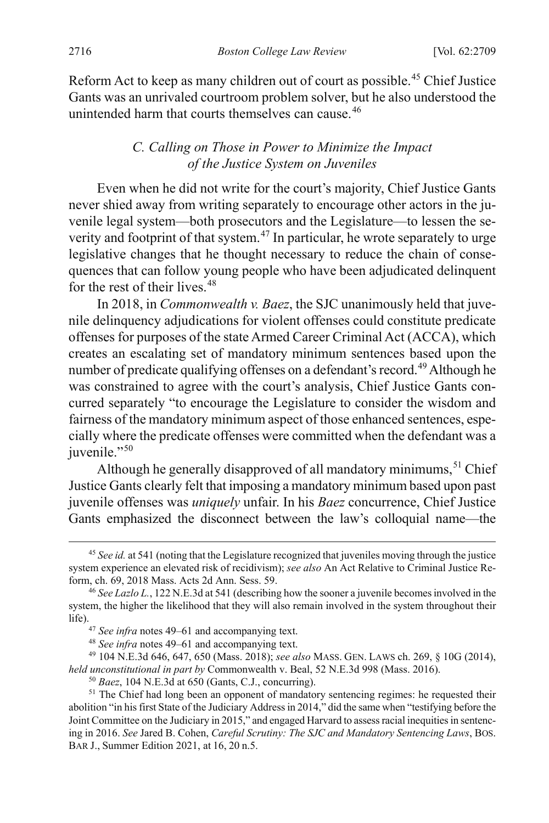Reform Act to keep as many children out of court as possible.<sup>[45](#page-8-3)</sup> Chief Justice Gants was an unrivaled courtroom problem solver, but he also understood the unintended harm that courts themselves can cause.<sup>[46](#page-8-4)</sup>

## <span id="page-8-1"></span><span id="page-8-0"></span>*C. Calling on Those in Power to Minimize the Impact of the Justice System on Juveniles*

Even when he did not write for the court's majority, Chief Justice Gants never shied away from writing separately to encourage other actors in the juvenile legal system—both prosecutors and the Legislature—to lessen the severity and footprint of that system.<sup> $47$ </sup> In particular, he wrote separately to urge legislative changes that he thought necessary to reduce the chain of consequences that can follow young people who have been adjudicated delinquent for the rest of their lives.<sup>[48](#page-8-6)</sup>

<span id="page-8-2"></span>In 2018, in *Commonwealth v. Baez*, the SJC unanimously held that juvenile delinquency adjudications for violent offenses could constitute predicate offenses for purposes of the state Armed Career Criminal Act (ACCA), which creates an escalating set of mandatory minimum sentences based upon the number of predicate qualifying offenses on a defendant's record.<sup>[49](#page-8-7)</sup> Although he was constrained to agree with the court's analysis, Chief Justice Gants concurred separately "to encourage the Legislature to consider the wisdom and fairness of the mandatory minimum aspect of those enhanced sentences, especially where the predicate offenses were committed when the defendant was a juvenile."<sup>[50](#page-8-8)</sup>

Although he generally disapproved of all mandatory minimums,  $51$  Chief Justice Gants clearly felt that imposing a mandatory minimum based upon past juvenile offenses was *uniquely* unfair. In his *Baez* concurrence, Chief Justice Gants emphasized the disconnect between the law's colloquial name—the

<span id="page-8-3"></span> <sup>45</sup> *See id.* at 541 (noting that the Legislature recognized that juveniles moving through the justice system experience an elevated risk of recidivism); *see also* An Act Relative to Criminal Justice Reform, ch. 69, 2018 Mass. Acts 2d Ann. Sess. 59.

<span id="page-8-4"></span><sup>46</sup> *See Lazlo L.*, 122 N.E.3d at 541 (describing how the sooner a juvenile becomes involved in the system, the higher the likelihood that they will also remain involved in the system throughout their life).47 *See infra* note[s 49–](#page-8-2)[61](#page-10-0) and accompanying text.

<sup>48</sup> *See infra* note[s 49–](#page-8-2)[61 a](#page-10-0)nd accompanying text.

<span id="page-8-7"></span><span id="page-8-6"></span><span id="page-8-5"></span><sup>49</sup> 104 N.E.3d 646, 647, 650 (Mass. 2018); *see also* MASS. GEN. LAWS ch. 269, § 10G (2014), *held unconstitutional in part by* Commonwealth v. Beal, 52 N.E.3d 998 (Mass. 2016).

<sup>50</sup> *Baez*, 104 N.E.3d at 650 (Gants, C.J., concurring).

<span id="page-8-9"></span><span id="page-8-8"></span><sup>&</sup>lt;sup>51</sup> The Chief had long been an opponent of mandatory sentencing regimes: he requested their abolition "in his first State of the Judiciary Address in 2014," did the same when "testifying before the Joint Committee on the Judiciary in 2015," and engaged Harvard to assess racial inequities in sentencing in 2016. *See* Jared B. Cohen, *Careful Scrutiny: The SJC and Mandatory Sentencing Laws*, BOS. BAR J., Summer Edition 2021, at 16, 20 n.5.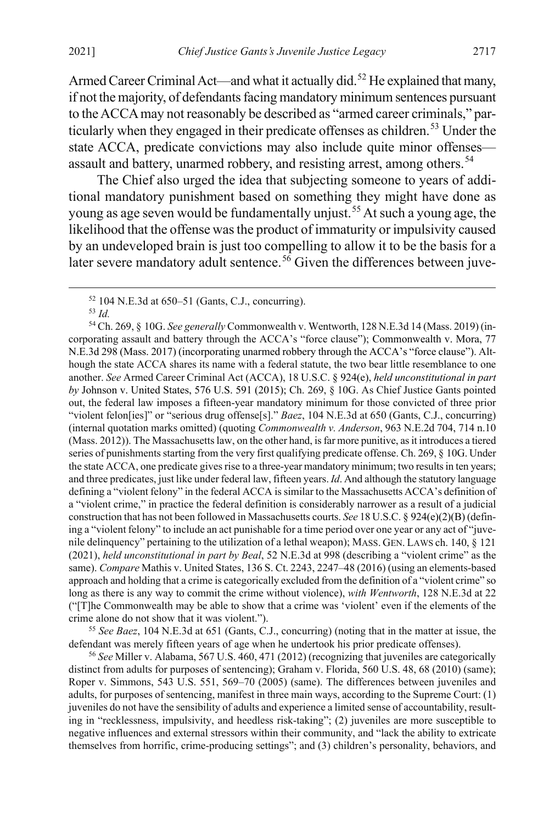Armed Career Criminal Act—and what it actually did.<sup>[52](#page-9-0)</sup> He explained that many, if not the majority, of defendants facing mandatory minimum sentences pursuant to the ACCA may not reasonably be described as "armed career criminals," particularly when they engaged in their predicate offenses as children. [53](#page-9-1) Under the state ACCA, predicate convictions may also include quite minor offenses— assault and battery, unarmed robbery, and resisting arrest, among others.<sup>[54](#page-9-2)</sup>

<span id="page-9-5"></span>The Chief also urged the idea that subjecting someone to years of additional mandatory punishment based on something they might have done as young as age seven would be fundamentally unjust.<sup>[55](#page-9-3)</sup> At such a young age, the likelihood that the offense was the product of immaturity or impulsivity caused by an undeveloped brain is just too compelling to allow it to be the basis for a later severe mandatory adult sentence.<sup>[56](#page-9-4)</sup> Given the differences between juve-

<span id="page-9-2"></span><span id="page-9-1"></span><span id="page-9-0"></span><sup>54</sup> Ch. 269, § 10G. *See generally* Commonwealth v. Wentworth, 128 N.E.3d 14 (Mass. 2019) (incorporating assault and battery through the ACCA's "force clause"); Commonwealth v. Mora, 77 N.E.3d 298 (Mass. 2017) (incorporating unarmed robbery through the ACCA's "force clause"). Although the state ACCA shares its name with a federal statute, the two bear little resemblance to one another. *See* Armed Career Criminal Act (ACCA), 18 U.S.C. § 924(e), *held unconstitutional in part by* Johnson v. United States, 576 U.S. 591 (2015); Ch. 269, § 10G. As Chief Justice Gants pointed out, the federal law imposes a fifteen-year mandatory minimum for those convicted of three prior "violent felon[ies]" or "serious drug offense[s]." *Baez*, 104 N.E.3d at 650 (Gants, C.J., concurring) (internal quotation marks omitted) (quoting *Commonwealth v. Anderson*, 963 N.E.2d 704, 714 n.10 (Mass. 2012)). The Massachusetts law, on the other hand, is far more punitive, as it introduces a tiered series of punishments starting from the very first qualifying predicate offense. Ch. 269, § 10G. Under the state ACCA, one predicate gives rise to a three-year mandatory minimum; two results in ten years; and three predicates, just like under federal law, fifteen years. *Id*. And although the statutory language defining a "violent felony" in the federal ACCA is similar to the Massachusetts ACCA's definition of a "violent crime," in practice the federal definition is considerably narrower as a result of a judicial construction that has not been followed in Massachusetts courts. *See* 18 U.S.C. § 924(e)(2)(B) (defining a "violent felony" to include an act punishable for a time period over one year or any act of "juvenile delinquency" pertaining to the utilization of a lethal weapon); MASS. GEN. LAWS ch. 140, § 121 (2021), *held unconstitutional in part by Beal*, 52 N.E.3d at 998 (describing a "violent crime" as the same). *Compare* Mathis v. United States, 136 S. Ct. 2243, 2247–48 (2016) (using an elements-based approach and holding that a crime is categorically excluded from the definition of a "violent crime" so long as there is any way to commit the crime without violence), *with Wentworth*, 128 N.E.3d at 22 ("[T]he Commonwealth may be able to show that a crime was 'violent' even if the elements of the crime alone do not show that it was violent.").

<span id="page-9-3"></span><sup>55</sup> *See Baez*, 104 N.E.3d at 651 (Gants, C.J., concurring) (noting that in the matter at issue, the defendant was merely fifteen years of age when he undertook his prior predicate offenses).

<span id="page-9-4"></span><sup>56</sup> *See* Miller v. Alabama, 567 U.S. 460, 471 (2012) (recognizing that juveniles are categorically distinct from adults for purposes of sentencing); Graham v. Florida, 560 U.S. 48, 68 (2010) (same); Roper v. Simmons, 543 U.S. 551, 569–70 (2005) (same). The differences between juveniles and adults, for purposes of sentencing, manifest in three main ways, according to the Supreme Court: (1) juveniles do not have the sensibility of adults and experience a limited sense of accountability, resulting in "recklessness, impulsivity, and heedless risk-taking"; (2) juveniles are more susceptible to negative influences and external stressors within their community, and "lack the ability to extricate themselves from horrific, crime-producing settings"; and (3) children's personality, behaviors, and

 $52$  104 N.E.3d at 650–51 (Gants, C.J., concurring).

<sup>53</sup> *Id.*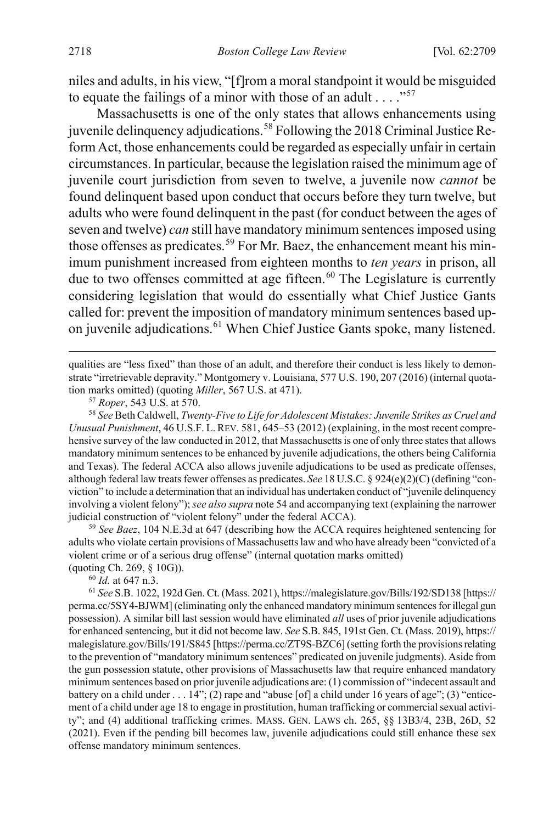niles and adults, in his view, "[f]rom a moral standpoint it would be misguided to equate the failings of a minor with those of an adult  $\dots$ ."<sup>[57](#page-10-1)</sup>

Massachusetts is one of the only states that allows enhancements using juvenile delinquency adjudications. [58](#page-10-2) Following the 2018 Criminal Justice Reform Act, those enhancements could be regarded as especially unfair in certain circumstances. In particular, because the legislation raised the minimum age of juvenile court jurisdiction from seven to twelve, a juvenile now *cannot* be found delinquent based upon conduct that occurs before they turn twelve, but adults who were found delinquent in the past (for conduct between the ages of seven and twelve) *can* still have mandatory minimum sentences imposed using those offenses as predicates.<sup>[59](#page-10-3)</sup> For Mr. Baez, the enhancement meant his minimum punishment increased from eighteen months to *ten years* in prison, all due to two offenses committed at age fifteen. [60](#page-10-4) The Legislature is currently considering legislation that would do essentially what Chief Justice Gants called for: prevent the imposition of mandatory minimum sentences based up-on juvenile adjudications.<sup>[61](#page-10-5)</sup> When Chief Justice Gants spoke, many listened.

qualities are "less fixed" than those of an adult, and therefore their conduct is less likely to demonstrate "irretrievable depravity." Montgomery v. Louisiana, 577 U.S. 190, 207 (2016) (internal quotation marks omitted) (quoting *Miller*, 567 U.S. at 471).

<span id="page-10-2"></span><span id="page-10-1"></span><sup>58</sup> *See* Beth Caldwell, *Twenty-Five to Life for Adolescent Mistakes: Juvenile Strikes as Cruel and Unusual Punishment*, 46 U.S.F. L.REV. 581, 645–53 (2012) (explaining, in the most recent comprehensive survey of the law conducted in 2012, that Massachusetts is one of only three states that allows mandatory minimum sentences to be enhanced by juvenile adjudications, the others being California and Texas). The federal ACCA also allows juvenile adjudications to be used as predicate offenses, although federal law treats fewer offenses as predicates. *See* 18 U.S.C. § 924(e)(2)(C) (defining "conviction" to include a determination that an individual has undertaken conduct of "juvenile delinquency involving a violent felony"); *see also supra* not[e 54 a](#page-9-5)nd accompanying text (explaining the narrower judicial construction of "violent felony" under the federal ACCA).

<span id="page-10-3"></span><sup>59</sup> *See Baez*, 104 N.E.3d at 647 (describing how the ACCA requires heightened sentencing for adults who violate certain provisions of Massachusetts law and who have already been "convicted of a violent crime or of a serious drug offense" (internal quotation marks omitted)

(quoting Ch. 269, § 10G)). 60 *Id.* at 647 n.3.

<span id="page-10-5"></span><span id="page-10-4"></span><sup>61</sup> *See* S.B. 1022, 192d Gen. Ct. (Mass. 2021), https://malegislature.gov/Bills/192/SD138 [https:// perma.cc/5SY4-BJWM] (eliminating only the enhanced mandatory minimum sentences for illegal gun possession). A similar bill last session would have eliminated *all* uses of prior juvenile adjudications for enhanced sentencing, but it did not become law. *See* S.B. 845, 191st Gen. Ct. (Mass. 2019), https:// malegislature.gov/Bills/191/S845 [https://perma.cc/ZT9S-BZC6] (setting forth the provisions relating to the prevention of "mandatory minimum sentences" predicated on juvenile judgments). Aside from the gun possession statute, other provisions of Massachusetts law that require enhanced mandatory minimum sentences based on prior juvenile adjudications are: (1) commission of "indecent assault and battery on a child under . . . 14"; (2) rape and "abuse [of] a child under 16 years of age"; (3) "enticement of a child under age 18 to engage in prostitution, human trafficking or commercial sexual activity"; and (4) additional trafficking crimes. MASS. GEN. LAWS ch. 265, §§ 13B3/4, 23B, 26D, 52 (2021). Even if the pending bill becomes law, juvenile adjudications could still enhance these sex offense mandatory minimum sentences.

<span id="page-10-0"></span> $\overline{a}$ 

<sup>57</sup> *Roper*, 543 U.S. at 570.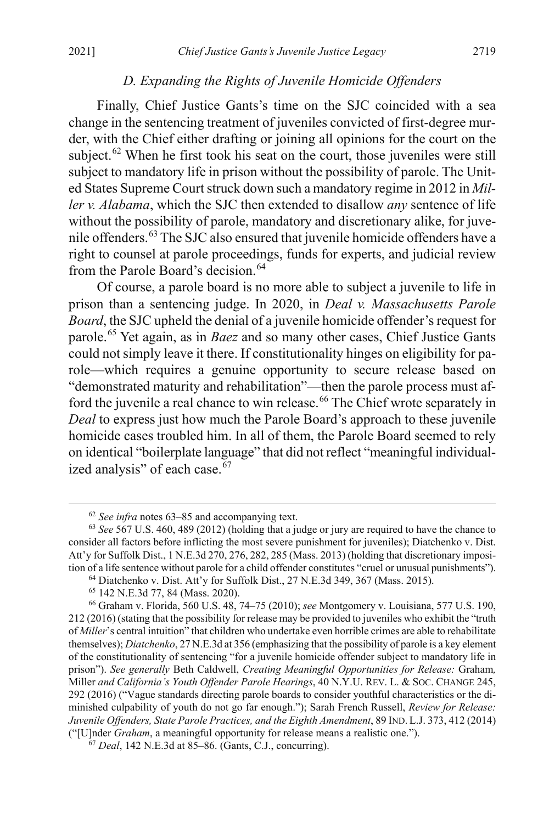#### *D. Expanding the Rights of Juvenile Homicide Offenders*

<span id="page-11-0"></span>Finally, Chief Justice Gants's time on the SJC coincided with a sea change in the sentencing treatment of juveniles convicted of first-degree murder, with the Chief either drafting or joining all opinions for the court on the subject.<sup>[62](#page-11-2)</sup> When he first took his seat on the court, those juveniles were still subject to mandatory life in prison without the possibility of parole. The United States Supreme Court struck down such a mandatory regime in 2012 in *Miller v. Alabama*, which the SJC then extended to disallow *any* sentence of life without the possibility of parole, mandatory and discretionary alike, for juvenile offenders.[63](#page-11-3) The SJC also ensured that juvenile homicide offenders have a right to counsel at parole proceedings, funds for experts, and judicial review from the Parole Board's decision.<sup>[64](#page-11-4)</sup>

<span id="page-11-1"></span>Of course, a parole board is no more able to subject a juvenile to life in prison than a sentencing judge. In 2020, in *Deal v. Massachusetts Parole Board*, the SJC upheld the denial of a juvenile homicide offender's request for parole.[65](#page-11-5) Yet again, as in *Baez* and so many other cases, Chief Justice Gants could not simply leave it there. If constitutionality hinges on eligibility for parole—which requires a genuine opportunity to secure release based on "demonstrated maturity and rehabilitation"—then the parole process must af-ford the juvenile a real chance to win release.<sup>[66](#page-11-6)</sup> The Chief wrote separately in *Deal* to express just how much the Parole Board's approach to these juvenile homicide cases troubled him. In all of them, the Parole Board seemed to rely on identical "boilerplate language" that did not reflect "meaningful individualized analysis" of each case. $67$ 

 <sup>62</sup> *See infra* note[s 63–](#page-11-1)[85](#page-15-0) and accompanying text.

<span id="page-11-3"></span><span id="page-11-2"></span><sup>63</sup> *See* 567 U.S. 460, 489 (2012) (holding that a judge or jury are required to have the chance to consider all factors before inflicting the most severe punishment for juveniles); Diatchenko v. Dist. Att'y for Suffolk Dist., 1 N.E.3d 270, 276, 282, 285 (Mass. 2013) (holding that discretionary imposition of a life sentence without parole for a child offender constitutes "cruel or unusual punishments").

<sup>64</sup> Diatchenko v. Dist. Att'y for Suffolk Dist., 27 N.E.3d 349, 367 (Mass. 2015). 65 142 N.E.3d 77, 84 (Mass. 2020).

<span id="page-11-6"></span><span id="page-11-5"></span><span id="page-11-4"></span><sup>66</sup> Graham v. Florida, 560 U.S. 48, 74–75 (2010); *see* Montgomery v. Louisiana, 577 U.S. 190, 212 (2016) (stating that the possibility for release may be provided to juveniles who exhibit the "truth of *Miller*'s central intuition" that children who undertake even horrible crimes are able to rehabilitate themselves); *Diatchenko*, 27 N.E.3d at 356 (emphasizing that the possibility of parole is a key element of the constitutionality of sentencing "for a juvenile homicide offender subject to mandatory life in prison"). *See generally* Beth Caldwell, *Creating Meaningful Opportunities for Release:* Graham*,*  Miller *and California's Youth Offender Parole Hearings*, 40 N.Y.U. REV. L. & SOC. CHANGE 245, 292 (2016) ("Vague standards directing parole boards to consider youthful characteristics or the diminished culpability of youth do not go far enough."); Sarah French Russell, *Review for Release: Juvenile Offenders, State Parole Practices, and the Eighth Amendment*, 89 IND. L.J. 373, 412 (2014) ("[U]nder *Graham*, a meaningful opportunity for release means a realistic one.").

<span id="page-11-7"></span><sup>67</sup> *Deal*, 142 N.E.3d at 85–86. (Gants, C.J., concurring).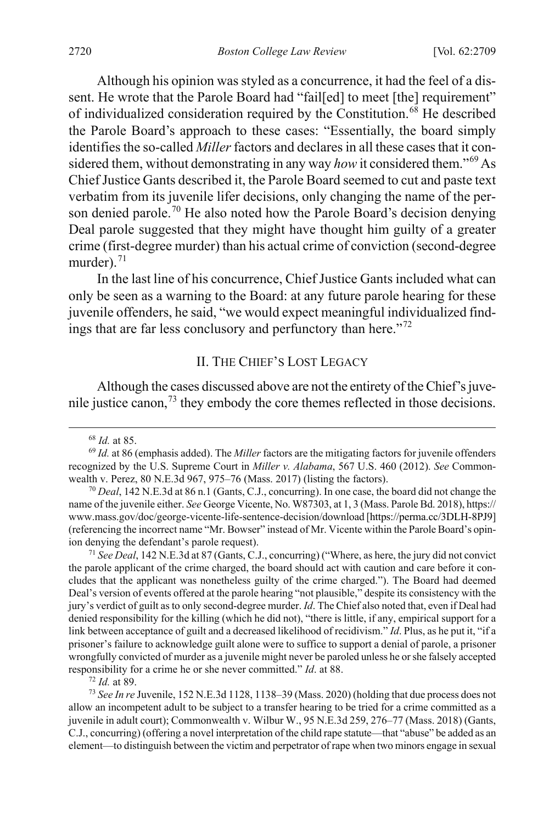Although his opinion was styled as a concurrence, it had the feel of a dissent. He wrote that the Parole Board had "failled] to meet [the] requirement" of individualized consideration required by the Constitution.<sup>[68](#page-12-2)</sup> He described the Parole Board's approach to these cases: "Essentially, the board simply identifies the so-called *Miller* factors and declares in all these cases that it considered them, without demonstrating in any way *how* it considered them."[69](#page-12-3) As Chief Justice Gants described it, the Parole Board seemed to cut and paste text verbatim from its juvenile lifer decisions, only changing the name of the per-son denied parole.<sup>[70](#page-12-4)</sup> He also noted how the Parole Board's decision denying Deal parole suggested that they might have thought him guilty of a greater crime (first-degree murder) than his actual crime of conviction (second-degree murder). $71$ 

In the last line of his concurrence, Chief Justice Gants included what can only be seen as a warning to the Board: at any future parole hearing for these juvenile offenders, he said, "we would expect meaningful individualized find-ings that are far less conclusory and perfunctory than here."<sup>[72](#page-12-6)</sup>

#### <span id="page-12-1"></span><span id="page-12-0"></span>II. THE CHIEF'S LOST LEGACY

Although the cases discussed above are not the entirety of the Chief's juvenile justice canon,  $73$  they embody the core themes reflected in those decisions.

<span id="page-12-5"></span><sup>71</sup> *See Deal*, 142 N.E.3d at 87 (Gants, C.J., concurring) ("Where, as here, the jury did not convict the parole applicant of the crime charged, the board should act with caution and care before it concludes that the applicant was nonetheless guilty of the crime charged."). The Board had deemed Deal's version of events offered at the parole hearing "not plausible," despite its consistency with the jury's verdict of guilt as to only second-degree murder. *Id*. The Chief also noted that, even if Deal had denied responsibility for the killing (which he did not), "there is little, if any, empirical support for a link between acceptance of guilt and a decreased likelihood of recidivism." *Id*. Plus, as he put it, "if a prisoner's failure to acknowledge guilt alone were to suffice to support a denial of parole, a prisoner wrongfully convicted of murder as a juvenile might never be paroled unless he or she falsely accepted responsibility for a crime he or she never committed." *Id*. at 88.

<sup>72</sup> *Id.* at 89.

<span id="page-12-7"></span><span id="page-12-6"></span><sup>73</sup> *See In re* Juvenile, 152 N.E.3d 1128, 1138–39 (Mass. 2020) (holding that due process does not allow an incompetent adult to be subject to a transfer hearing to be tried for a crime committed as a juvenile in adult court); Commonwealth v. Wilbur W., 95 N.E.3d 259, 276–77 (Mass. 2018) (Gants, C.J., concurring) (offering a novel interpretation of the child rape statute—that "abuse" be added as an element—to distinguish between the victim and perpetrator of rape when two minors engage in sexual

 <sup>68</sup> *Id.* at 85.

<span id="page-12-3"></span><span id="page-12-2"></span><sup>69</sup> *Id.* at 86 (emphasis added). The *Miller* factors are the mitigating factors for juvenile offenders recognized by the U.S. Supreme Court in *Miller v. Alabama*, 567 U.S. 460 (2012). *See* Commonwealth v. Perez, 80 N.E.3d 967, 975–76 (Mass. 2017) (listing the factors).

<span id="page-12-4"></span><sup>70</sup> *Deal*, 142 N.E.3d at 86 n.1 (Gants, C.J., concurring). In one case, the board did not change the name of the juvenile either. *See* George Vicente, No. W87303, at 1, 3 (Mass. Parole Bd. 2018), https:// www.mass.gov/doc/george-vicente-life-sentence-decision/download [https://perma.cc/3DLH-8PJ9] (referencing the incorrect name "Mr. Bowser" instead of Mr. Vicente within the Parole Board's opinion denying the defendant's parole request).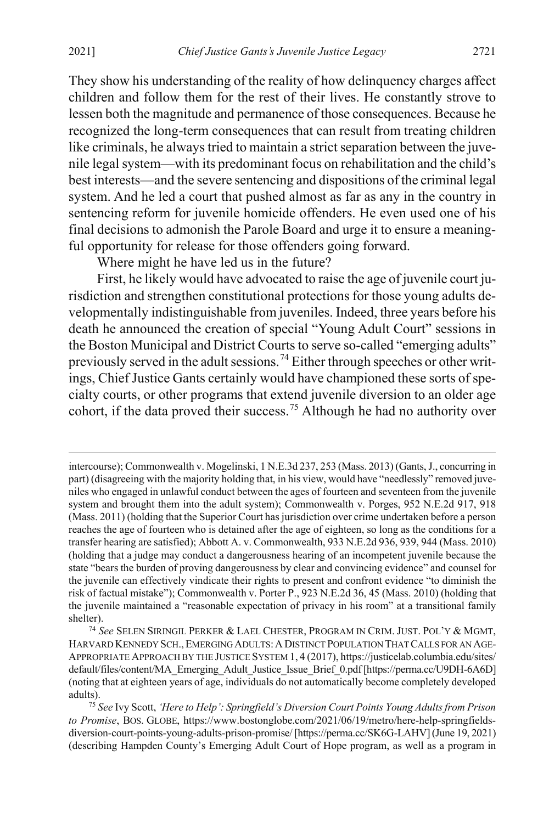They show his understanding of the reality of how delinquency charges affect children and follow them for the rest of their lives. He constantly strove to lessen both the magnitude and permanence of those consequences. Because he recognized the long-term consequences that can result from treating children like criminals, he always tried to maintain a strict separation between the juvenile legal system—with its predominant focus on rehabilitation and the child's best interests—and the severe sentencing and dispositions of the criminal legal system. And he led a court that pushed almost as far as any in the country in sentencing reform for juvenile homicide offenders. He even used one of his final decisions to admonish the Parole Board and urge it to ensure a meaningful opportunity for release for those offenders going forward.

<span id="page-13-2"></span>Where might he have led us in the future?

First, he likely would have advocated to raise the age of juvenile court jurisdiction and strengthen constitutional protections for those young adults developmentally indistinguishable from juveniles. Indeed, three years before his death he announced the creation of special "Young Adult Court" sessions in the Boston Municipal and District Courts to serve so-called "emerging adults" previously served in the adult sessions.[74](#page-13-0) Either through speeches or other writings, Chief Justice Gants certainly would have championed these sorts of specialty courts, or other programs that extend juvenile diversion to an older age cohort, if the data proved their success.<sup>[75](#page-13-1)</sup> Although he had no authority over

 $\overline{a}$ 

intercourse); Commonwealth v. Mogelinski, 1 N.E.3d 237, 253 (Mass. 2013) (Gants, J., concurring in part) (disagreeing with the majority holding that, in his view, would have "needlessly" removed juveniles who engaged in unlawful conduct between the ages of fourteen and seventeen from the juvenile system and brought them into the adult system); Commonwealth v. Porges, 952 N.E.2d 917, 918 (Mass. 2011) (holding that the Superior Court has jurisdiction over crime undertaken before a person reaches the age of fourteen who is detained after the age of eighteen, so long as the conditions for a transfer hearing are satisfied); Abbott A. v. Commonwealth, 933 N.E.2d 936, 939, 944 (Mass. 2010) (holding that a judge may conduct a dangerousness hearing of an incompetent juvenile because the state "bears the burden of proving dangerousness by clear and convincing evidence" and counsel for the juvenile can effectively vindicate their rights to present and confront evidence "to diminish the risk of factual mistake"); Commonwealth v. Porter P., 923 N.E.2d 36, 45 (Mass. 2010) (holding that the juvenile maintained a "reasonable expectation of privacy in his room" at a transitional family shelter).

<span id="page-13-0"></span><sup>74</sup> *See* SELEN SIRINGIL PERKER & LAEL CHESTER, PROGRAM IN CRIM. JUST. POL'Y & MGMT, HARVARD KENNEDY SCH., EMERGING ADULTS: A DISTINCT POPULATION THAT CALLS FOR AN AGE-APPROPRIATE APPROACH BY THE JUSTICE SYSTEM 1, 4 (2017), https://justicelab.columbia.edu/sites/ default/files/content/MA\_Emerging\_Adult\_Justice\_Issue\_Brief\_0.pdf [https://perma.cc/U9DH-6A6D] (noting that at eighteen years of age, individuals do not automatically become completely developed

<span id="page-13-1"></span>adults). 75 *See* Ivy Scott, *'Here to Help': Springfield's Diversion Court Points Young Adults from Prison to Promise*, BOS. GLOBE, https://www.bostonglobe.com/2021/06/19/metro/here-help-springfieldsdiversion-court-points-young-adults-prison-promise/ [https://perma.cc/SK6G-LAHV] (June 19, 2021) (describing Hampden County's Emerging Adult Court of Hope program, as well as a program in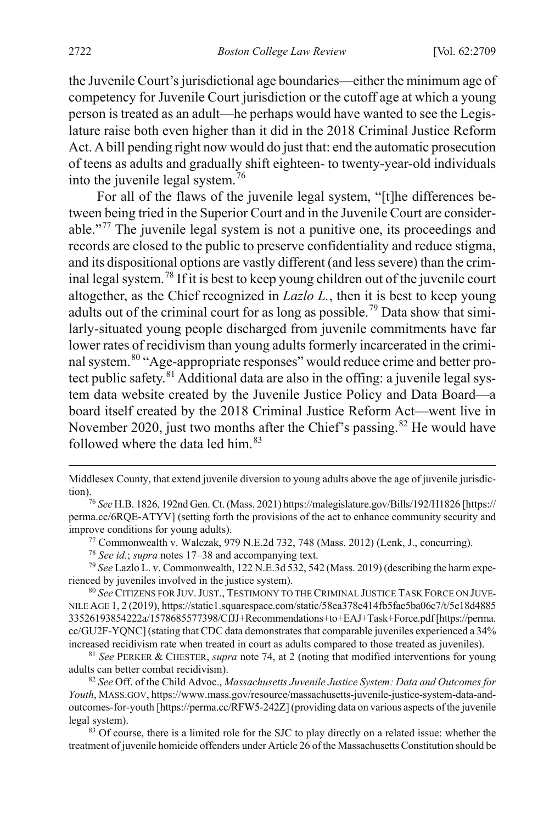the Juvenile Court's jurisdictional age boundaries—either the minimum age of competency for Juvenile Court jurisdiction or the cutoff age at which a young person is treated as an adult—he perhaps would have wanted to see the Legislature raise both even higher than it did in the 2018 Criminal Justice Reform Act. A bill pending right now would do just that: end the automatic prosecution of teens as adults and gradually shift eighteen- to twenty-year-old individuals into the juvenile legal system.[76](#page-14-0)

For all of the flaws of the juvenile legal system, "[t]he differences between being tried in the Superior Court and in the Juvenile Court are considerable."[77](#page-14-1) The juvenile legal system is not a punitive one, its proceedings and records are closed to the public to preserve confidentiality and reduce stigma, and its dispositional options are vastly different (and less severe) than the criminal legal system.[78](#page-14-2) If it is best to keep young children out of the juvenile court altogether, as the Chief recognized in *Lazlo L.*, then it is best to keep young adults out of the criminal court for as long as possible.<sup>[79](#page-14-3)</sup> Data show that similarly-situated young people discharged from juvenile commitments have far lower rates of recidivism than young adults formerly incarcerated in the crimi-nal system.<sup>[80](#page-14-4)</sup> "Age-appropriate responses" would reduce crime and better pro-tect public safety.<sup>[81](#page-14-5)</sup> Additional data are also in the offing: a juvenile legal system data website created by the Juvenile Justice Policy and Data Board—a board itself created by the 2018 Criminal Justice Reform Act—went live in November 2020, just two months after the Chief's passing.<sup>[82](#page-14-6)</sup> He would have followed where the data led him.<sup>[83](#page-14-7)</sup>

<sup>77</sup> Commonwealth v. Walczak, 979 N.E.2d 732, 748 (Mass. 2012) (Lenk, J., concurring).

<sup>78</sup> *See id.*; *supra* note[s 17–](#page-3-0)[38](#page-6-0) and accompanying text.

<span id="page-14-3"></span><span id="page-14-2"></span><span id="page-14-1"></span><sup>79</sup> *See* Lazlo L. v. Commonwealth, 122 N.E.3d 532, 542 (Mass. 2019) (describing the harm experienced by juveniles involved in the justice system).

<span id="page-14-4"></span><sup>80</sup> *See* CITIZENS FOR JUV.JUST., TESTIMONY TO THE CRIMINAL JUSTICE TASK FORCE ON JUVE-NILE AGE 1, 2 (2019), https://static1.squarespace.com/static/58ea378e414fb5fae5ba06c7/t/5e18d4885 33526193854222a/1578685577398/CfJJ+Recommendations+to+EAJ+Task+Force.pdf [https://perma. cc/GU2F-YQNC] (stating that CDC data demonstrates that comparable juveniles experienced a 34% increased recidivism rate when treated in court as adults compared to those treated as juveniles). 81 *See* PERKER & CHESTER, *supra* note [74,](#page-13-2) at 2 (noting that modified interventions for young

<span id="page-14-5"></span>adults can better combat recidivism).

<span id="page-14-6"></span><sup>82</sup> *See* Off. of the Child Advoc., *Massachusetts Juvenile Justice System: Data and Outcomes for Youth*, MASS.GOV, https://www.mass.gov/resource/massachusetts-juvenile-justice-system-data-andoutcomes-for-youth [https://perma.cc/RFW5-242Z] (providing data on various aspects of the juvenile legal system).<br><sup>83</sup> Of course, there is a limited role for the SJC to play directly on a related issue: whether the

<span id="page-14-7"></span>treatment of juvenile homicide offenders under Article 26 of the Massachusetts Constitution should be

 $\overline{a}$ 

Middlesex County, that extend juvenile diversion to young adults above the age of juvenile jurisdiction).76 *See* H.B. 1826, 192nd Gen. Ct. (Mass. 2021) https://malegislature.gov/Bills/192/H1826 [https://

<span id="page-14-0"></span>perma.cc/6RQE-ATYV] (setting forth the provisions of the act to enhance community security and improve conditions for young adults).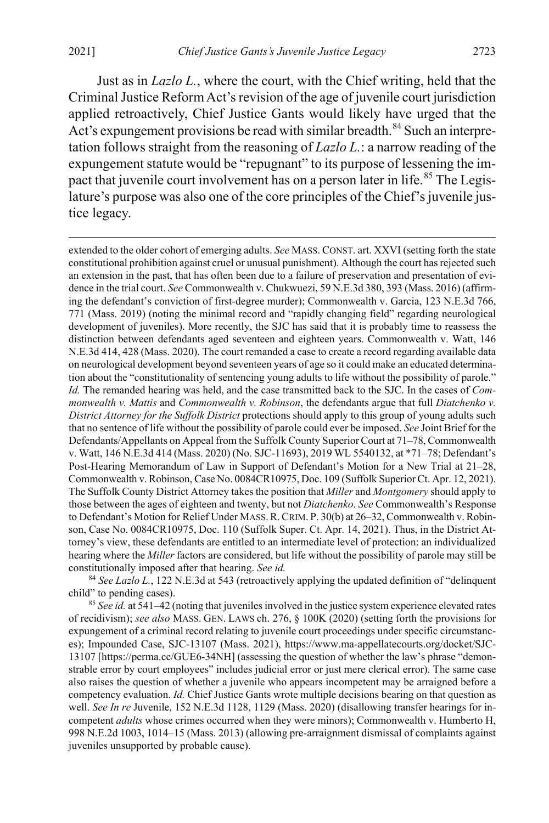<span id="page-15-0"></span> $\overline{a}$ 

Just as in *Lazlo L.*, where the court, with the Chief writing, held that the Criminal Justice Reform Act's revision of the age of juvenile court jurisdiction applied retroactively, Chief Justice Gants would likely have urged that the Act's expungement provisions be read with similar breadth.<sup>[84](#page-15-1)</sup> Such an interpretation follows straight from the reasoning of *Lazlo L.*: a narrow reading of the expungement statute would be "repugnant" to its purpose of lessening the im-pact that juvenile court involvement has on a person later in life.<sup>[85](#page-15-2)</sup> The Legislature's purpose was also one of the core principles of the Chief's juvenile justice legacy.

extended to the older cohort of emerging adults. *See* MASS. CONST. art. XXVI (setting forth the state constitutional prohibition against cruel or unusual punishment). Although the court has rejected such an extension in the past, that has often been due to a failure of preservation and presentation of evidence in the trial court. *See* Commonwealth v. Chukwuezi, 59 N.E.3d 380, 393 (Mass. 2016) (affirming the defendant's conviction of first-degree murder); Commonwealth v. Garcia, 123 N.E.3d 766, 771 (Mass. 2019) (noting the minimal record and "rapidly changing field" regarding neurological development of juveniles). More recently, the SJC has said that it is probably time to reassess the distinction between defendants aged seventeen and eighteen years. Commonwealth v. Watt, 146 N.E.3d 414, 428 (Mass. 2020). The court remanded a case to create a record regarding available data on neurological development beyond seventeen years of age so it could make an educated determination about the "constitutionality of sentencing young adults to life without the possibility of parole." *Id.* The remanded hearing was held, and the case transmitted back to the SJC. In the cases of *Commonwealth v. Mattis* and *Commonwealth v. Robinson*, the defendants argue that full *Diatchenko v. District Attorney for the Suffolk District* protections should apply to this group of young adults such that no sentence of life without the possibility of parole could ever be imposed. *See* Joint Brief for the Defendants/Appellants on Appeal from the Suffolk County Superior Court at 71–78, Commonwealth v. Watt, 146 N.E.3d 414 (Mass. 2020) (No. SJC-11693), 2019 WL 5540132, at \*71–78; Defendant's Post-Hearing Memorandum of Law in Support of Defendant's Motion for a New Trial at 21–28, Commonwealth v. Robinson, Case No. 0084CR10975, Doc. 109 (Suffolk Superior Ct. Apr. 12, 2021). The Suffolk County District Attorney takes the position that *Miller* and *Montgomery* should apply to those between the ages of eighteen and twenty, but not *Diatchenko*. *See* Commonwealth's Response to Defendant's Motion for Relief Under MASS.R.CRIM. P. 30(b) at 26–32, Commonwealth v. Robinson, Case No. 0084CR10975, Doc. 110 (Suffolk Super. Ct. Apr. 14, 2021). Thus, in the District Attorney's view, these defendants are entitled to an intermediate level of protection: an individualized hearing where the *Miller* factors are considered, but life without the possibility of parole may still be constitutionally imposed after that hearing. *See id.*

<span id="page-15-1"></span><sup>84</sup> See Lazlo L., 122 N.E.3d at 543 (retroactively applying the updated definition of "delinquent" child" to pending cases).

<span id="page-15-2"></span><sup>85</sup> *See id.* at 541–42 (noting that juveniles involved in the justice system experience elevated rates of recidivism); *see also* MASS. GEN. LAWS ch. 276, § 100K (2020) (setting forth the provisions for expungement of a criminal record relating to juvenile court proceedings under specific circumstances); Impounded Case, SJC-13107 (Mass. 2021), https://www.ma-appellatecourts.org/docket/SJC-13107 [https://perma.cc/GUE6-34NH] (assessing the question of whether the law's phrase "demonstrable error by court employees" includes judicial error or just mere clerical error). The same case also raises the question of whether a juvenile who appears incompetent may be arraigned before a competency evaluation. *Id.* Chief Justice Gants wrote multiple decisions bearing on that question as well. *See In re* Juvenile, 152 N.E.3d 1128, 1129 (Mass. 2020) (disallowing transfer hearings for incompetent *adults* whose crimes occurred when they were minors); Commonwealth v. Humberto H, 998 N.E.2d 1003, 1014–15 (Mass. 2013) (allowing pre-arraignment dismissal of complaints against juveniles unsupported by probable cause).